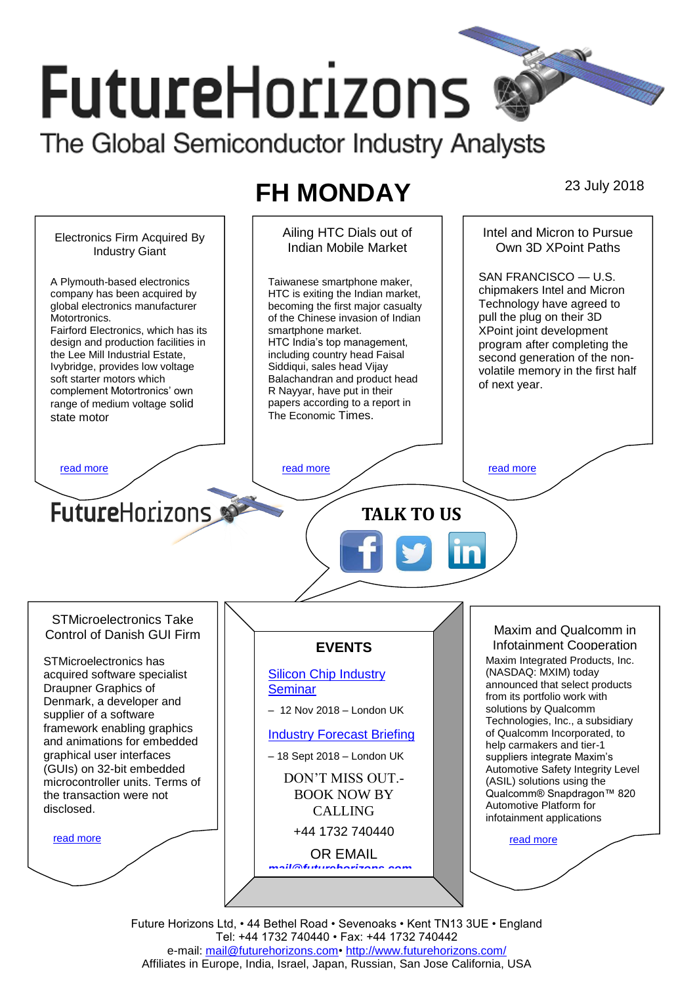# **FutureHorizons**

The Global Semiconductor Industry Analysts

## **FH MONDAY** 23 July 2018



Future Horizons Ltd, • 44 Bethel Road • Sevenoaks • Kent TN13 3UE • England Tel: +44 1732 740440 • Fax: +44 1732 740442 e-mail: [mail@futurehorizons.com•](../FH%20Monday%20-%202017/mail@futurehorizons.com)<http://www.futurehorizons.com/> Affiliates in Europe, India, Israel, Japan, Russian, San Jose California, USA